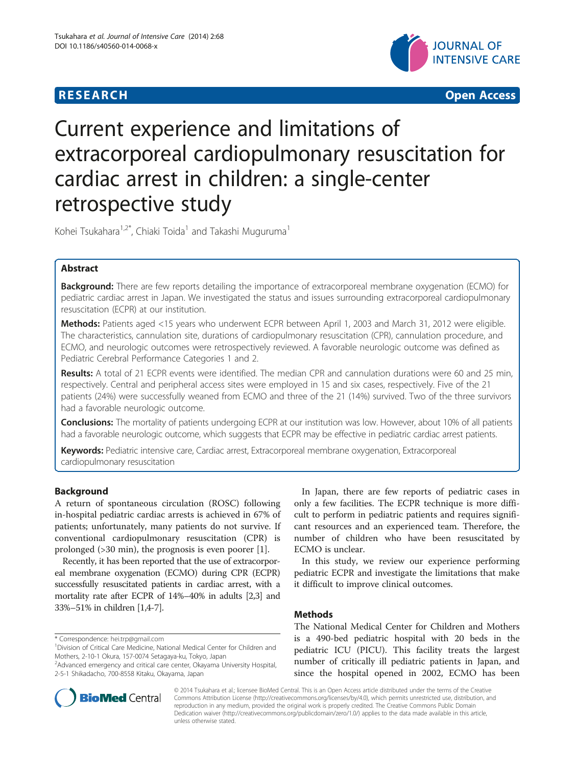## **RESEARCH CHINESE ARCH CHINESE ARCH CHINESE ARCH <b>CHINESE ARCH**



# Current experience and limitations of extracorporeal cardiopulmonary resuscitation for cardiac arrest in children: a single-center retrospective study

Kohei Tsukahara<sup>1,2\*</sup>, Chiaki Toida<sup>1</sup> and Takashi Muguruma<sup>1</sup>

## Abstract

**Background:** There are few reports detailing the importance of extracorporeal membrane oxygenation (ECMO) for pediatric cardiac arrest in Japan. We investigated the status and issues surrounding extracorporeal cardiopulmonary resuscitation (ECPR) at our institution.

Methods: Patients aged <15 years who underwent ECPR between April 1, 2003 and March 31, 2012 were eligible. The characteristics, cannulation site, durations of cardiopulmonary resuscitation (CPR), cannulation procedure, and ECMO, and neurologic outcomes were retrospectively reviewed. A favorable neurologic outcome was defined as Pediatric Cerebral Performance Categories 1 and 2.

Results: A total of 21 ECPR events were identified. The median CPR and cannulation durations were 60 and 25 min, respectively. Central and peripheral access sites were employed in 15 and six cases, respectively. Five of the 21 patients (24%) were successfully weaned from ECMO and three of the 21 (14%) survived. Two of the three survivors had a favorable neurologic outcome.

Conclusions: The mortality of patients undergoing ECPR at our institution was low. However, about 10% of all patients had a favorable neurologic outcome, which suggests that ECPR may be effective in pediatric cardiac arrest patients.

Keywords: Pediatric intensive care, Cardiac arrest, Extracorporeal membrane oxygenation, Extracorporeal cardiopulmonary resuscitation

## Background

A return of spontaneous circulation (ROSC) following in-hospital pediatric cardiac arrests is achieved in 67% of patients; unfortunately, many patients do not survive. If conventional cardiopulmonary resuscitation (CPR) is prolonged (>30 min), the prognosis is even poorer [\[1](#page-4-0)].

Recently, it has been reported that the use of extracorporeal membrane oxygenation (ECMO) during CPR (ECPR) successfully resuscitated patients in cardiac arrest, with a mortality rate after ECPR of 14%–40% in adults [[2,3](#page-4-0)] and 33%–51% in children [\[1,4-7\]](#page-4-0).

\* Correspondence: [hei.trp@gmail.com](mailto:hei.trp@gmail.com) <sup>1</sup>

In Japan, there are few reports of pediatric cases in only a few facilities. The ECPR technique is more difficult to perform in pediatric patients and requires significant resources and an experienced team. Therefore, the number of children who have been resuscitated by ECMO is unclear.

In this study, we review our experience performing pediatric ECPR and investigate the limitations that make it difficult to improve clinical outcomes.

## Methods

The National Medical Center for Children and Mothers is a 490-bed pediatric hospital with 20 beds in the pediatric ICU (PICU). This facility treats the largest number of critically ill pediatric patients in Japan, and since the hospital opened in 2002, ECMO has been



© 2014 Tsukahara et al.; licensee BioMed Central. This is an Open Access article distributed under the terms of the Creative Commons Attribution License [\(http://creativecommons.org/licenses/by/4.0\)](http://creativecommons.org/licenses/by/4.0), which permits unrestricted use, distribution, and reproduction in any medium, provided the original work is properly credited. The Creative Commons Public Domain Dedication waiver [\(http://creativecommons.org/publicdomain/zero/1.0/](http://creativecommons.org/publicdomain/zero/1.0/)) applies to the data made available in this article, unless otherwise stated.

Division of Critical Care Medicine, National Medical Center for Children and Mothers, 2-10-1 Okura, 157-0074 Setagaya-ku, Tokyo, Japan

<sup>2</sup> Advanced emergency and critical care center, Okayama University Hospital, 2-5-1 Shikadacho, 700-8558 Kitaku, Okayama, Japan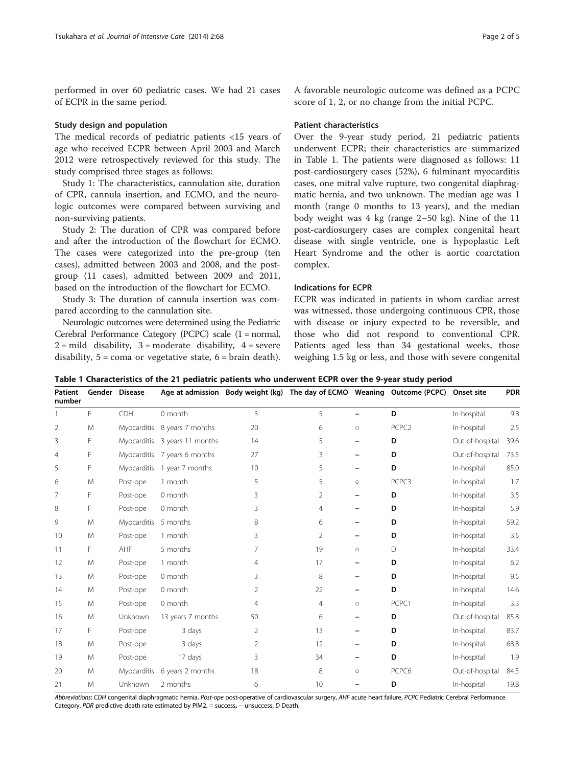performed in over 60 pediatric cases. We had 21 cases of ECPR in the same period.

## Study design and population

The medical records of pediatric patients <15 years of age who received ECPR between April 2003 and March 2012 were retrospectively reviewed for this study. The study comprised three stages as follows:

Study 1: The characteristics, cannulation site, duration of CPR, cannula insertion, and ECMO, and the neurologic outcomes were compared between surviving and non-surviving patients.

Study 2: The duration of CPR was compared before and after the introduction of the flowchart for ECMO. The cases were categorized into the pre-group (ten cases), admitted between 2003 and 2008, and the postgroup (11 cases), admitted between 2009 and 2011, based on the introduction of the flowchart for ECMO.

Study 3: The duration of cannula insertion was compared according to the cannulation site.

Neurologic outcomes were determined using the Pediatric Cerebral Performance Category (PCPC) scale (1 = normal,  $2 =$  mild disability,  $3 =$  moderate disability,  $4 =$  severe disability,  $5 = \text{com}$  or vegetative state,  $6 = \text{brain death}$ .

A favorable neurologic outcome was defined as a PCPC score of 1, 2, or no change from the initial PCPC.

## Patient characteristics

Over the 9-year study period, 21 pediatric patients underwent ECPR; their characteristics are summarized in Table 1. The patients were diagnosed as follows: 11 post-cardiosurgery cases (52%), 6 fulminant myocarditis cases, one mitral valve rupture, two congenital diaphragmatic hernia, and two unknown. The median age was 1 month (range 0 months to 13 years), and the median body weight was 4 kg (range 2–50 kg). Nine of the 11 post-cardiosurgery cases are complex congenital heart disease with single ventricle, one is hypoplastic Left Heart Syndrome and the other is aortic coarctation complex.

## Indications for ECPR

ECPR was indicated in patients in whom cardiac arrest was witnessed, those undergoing continuous CPR, those with disease or injury expected to be reversible, and those who did not respond to conventional CPR. Patients aged less than 34 gestational weeks, those weighing 1.5 kg or less, and those with severe congenital

Table 1 Characteristics of the 21 pediatric patients who underwent ECPR over the 9-year study period

| Patient<br>number |    | Gender Disease       |                               |                | Age at admission Body weight (kg) The day of ECMO Weaning Outcome (PCPC) |                          |                   | Onset site      | <b>PDR</b> |
|-------------------|----|----------------------|-------------------------------|----------------|--------------------------------------------------------------------------|--------------------------|-------------------|-----------------|------------|
|                   | F. | CDH                  | 0 month                       | $\overline{3}$ | 5                                                                        | $\overline{\phantom{0}}$ | D                 | In-hospital     | 9.8        |
| 2                 | M  |                      | Myocarditis 8 years 7 months  | 20             | 6                                                                        | $\circ$                  | PCPC <sub>2</sub> | In-hospital     | 2.5        |
| 3                 | F  |                      | Myocarditis 3 years 11 months | 14             | 5                                                                        |                          | D                 | Out-of-hospital | 39.6       |
| $\overline{4}$    | F  |                      | Myocarditis 7 years 6 months  | 27             | 3                                                                        |                          | D                 | Out-of-hospital | 73.5       |
| 5                 | F  |                      | Myocarditis 1 year 7 months   | 10             | 5                                                                        |                          | D                 | In-hospital     | 85.0       |
| 6                 | M  | Post-ope             | 1 month                       | 5              | 5                                                                        | $\circ$                  | PCPC3             | In-hospital     | 1.7        |
| 7                 | F  | Post-ope             | 0 month                       | 3              | 2                                                                        |                          | D                 | In-hospital     | 3.5        |
| 8                 | F  | Post-ope             | 0 month                       | 3              | 4                                                                        |                          | D                 | In-hospital     | 5.9        |
| 9                 | M  | Myocarditis 5 months |                               | 8              | 6                                                                        |                          | D                 | In-hospital     | 59.2       |
| 10                | M  | Post-ope             | 1 month                       | 3              | 2                                                                        |                          | D                 | In-hospital     | 3.5        |
| 11                | F  | AHF                  | 5 months                      | 7              | 19                                                                       | $\circ$                  | D                 | In-hospital     | 33.4       |
| 12                | M  | Post-ope             | 1 month                       | 4              | 17                                                                       |                          | D                 | In-hospital     | 6.2        |
| 13                | M  | Post-ope             | 0 month                       | 3              | 8                                                                        |                          | D                 | In-hospital     | 9.5        |
| 14                | M  | Post-ope             | 0 month                       | 2              | 22                                                                       |                          | D                 | In-hospital     | 14.6       |
| 15                | M  | Post-ope             | 0 month                       | 4              | 4                                                                        | $\circ$                  | PCPC1             | In-hospital     | 3.3        |
| 16                | M  | Unknown              | 13 years 7 months             | 50             | 6                                                                        |                          | D                 | Out-of-hospital | 85.8       |
| 17                | F  | Post-ope             | 3 days                        | $\overline{2}$ | 13                                                                       |                          | D                 | In-hospital     | 83.7       |
| 18                | M  | Post-ope             | 3 days                        | 2              | 12                                                                       |                          | D                 | In-hospital     | 68.8       |
| 19                | M  | Post-ope             | 17 days                       | 3              | 34                                                                       |                          | D                 | In-hospital     | 1.9        |
| 20                | M  | Myocarditis          | 6 years 2 months              | 18             | 8                                                                        | $\circ$                  | PCPC6             | Out-of-hospital | 84.5       |
| 21                | M  | Unknown              | 2 months                      | 6              | 10                                                                       |                          | D                 | In-hospital     | 19.8       |

Abbreviations: CDH congenital diaphragmatic hernia, Post-ope post-operative of cardiovascular surgery, AHF acute heart failure, PCPC Pediatric Cerebral Performance Category, PDR predictive death rate estimated by PIM2. ○ success, – unsuccess, D Death.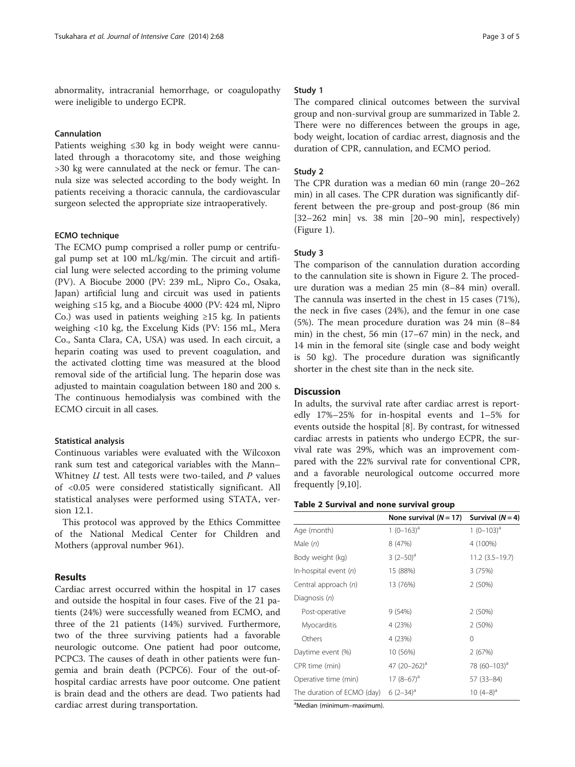abnormality, intracranial hemorrhage, or coagulopathy were ineligible to undergo ECPR.

## Cannulation

Patients weighing ≤30 kg in body weight were cannulated through a thoracotomy site, and those weighing >30 kg were cannulated at the neck or femur. The cannula size was selected according to the body weight. In patients receiving a thoracic cannula, the cardiovascular surgeon selected the appropriate size intraoperatively.

## ECMO technique

The ECMO pump comprised a roller pump or centrifugal pump set at 100 mL/kg/min. The circuit and artificial lung were selected according to the priming volume (PV). A Biocube 2000 (PV: 239 mL, Nipro Co., Osaka, Japan) artificial lung and circuit was used in patients weighing ≤15 kg, and a Biocube 4000 (PV: 424 ml, Nipro Co.) was used in patients weighing  $\geq 15$  kg. In patients weighing <10 kg, the Excelung Kids (PV: 156 mL, Mera Co., Santa Clara, CA, USA) was used. In each circuit, a heparin coating was used to prevent coagulation, and the activated clotting time was measured at the blood removal side of the artificial lung. The heparin dose was adjusted to maintain coagulation between 180 and 200 s. The continuous hemodialysis was combined with the ECMO circuit in all cases.

## Statistical analysis

Continuous variables were evaluated with the Wilcoxon rank sum test and categorical variables with the Mann– Whitney  $U$  test. All tests were two-tailed, and  $P$  values of <0.05 were considered statistically significant. All statistical analyses were performed using STATA, version 12.1.

This protocol was approved by the Ethics Committee of the National Medical Center for Children and Mothers (approval number 961).

## Results

Cardiac arrest occurred within the hospital in 17 cases and outside the hospital in four cases. Five of the 21 patients (24%) were successfully weaned from ECMO, and three of the 21 patients (14%) survived. Furthermore, two of the three surviving patients had a favorable neurologic outcome. One patient had poor outcome, PCPC3. The causes of death in other patients were fungemia and brain death (PCPC6). Four of the out-ofhospital cardiac arrests have poor outcome. One patient is brain dead and the others are dead. Two patients had cardiac arrest during transportation.

## Study 1

The compared clinical outcomes between the survival group and non-survival group are summarized in Table 2. There were no differences between the groups in age, body weight, location of cardiac arrest, diagnosis and the duration of CPR, cannulation, and ECMO period.

## Study 2

The CPR duration was a median 60 min (range 20–262 min) in all cases. The CPR duration was significantly different between the pre-group and post-group (86 min [32–262 min] vs. 38 min [20–90 min], respectively) (Figure [1\)](#page-3-0).

## Study 3

The comparison of the cannulation duration according to the cannulation site is shown in Figure [2.](#page-3-0) The procedure duration was a median 25 min (8–84 min) overall. The cannula was inserted in the chest in 15 cases (71%), the neck in five cases (24%), and the femur in one case (5%). The mean procedure duration was 24 min (8–84 min) in the chest, 56 min (17–67 min) in the neck, and 14 min in the femoral site (single case and body weight is 50 kg). The procedure duration was significantly shorter in the chest site than in the neck site.

## **Discussion**

In adults, the survival rate after cardiac arrest is reportedly 17%–25% for in-hospital events and 1–5% for events outside the hospital [[8\]](#page-4-0). By contrast, for witnessed cardiac arrests in patients who undergo ECPR, the survival rate was 29%, which was an improvement compared with the 22% survival rate for conventional CPR, and a favorable neurological outcome occurred more frequently [\[9,10](#page-4-0)].

#### Table 2 Survival and none survival group

|                            | None survival $(N = 17)$ | Survival $(N = 4)$       |  |
|----------------------------|--------------------------|--------------------------|--|
| Age (month)                | 1 $(0-163)^a$            | $1(0-103)^a$             |  |
| Male $(n)$                 | 8 (47%)                  | 4 (100%)                 |  |
| Body weight (kg)           | $3(2-50)^a$              | 11.2 (3.5–19.7)          |  |
| In-hospital event $(n)$    | 15 (88%)                 | 3(75%)                   |  |
| Central approach (n)       | 13 (76%)                 | 2(50%)                   |  |
| Diagnosis (n)              |                          |                          |  |
| Post-operative             | 9(54%)                   | 2(50%)                   |  |
| Myocarditis                | 4 (23%)                  | 2(50%)                   |  |
| Others                     | 4 (23%)                  | $\Omega$                 |  |
| Daytime event (%)          | 10 (56%)                 | 2(67%)                   |  |
| CPR time (min)             | 47 $(20-262)^{a}$        | 78 (60-103) <sup>a</sup> |  |
| Operative time (min)       | $17(8-67)^a$             | 57 (33 - 84)             |  |
| The duration of ECMO (day) | $6(2-34)^a$              | $10(4-8)^a$              |  |

a Median (minimum–maximum).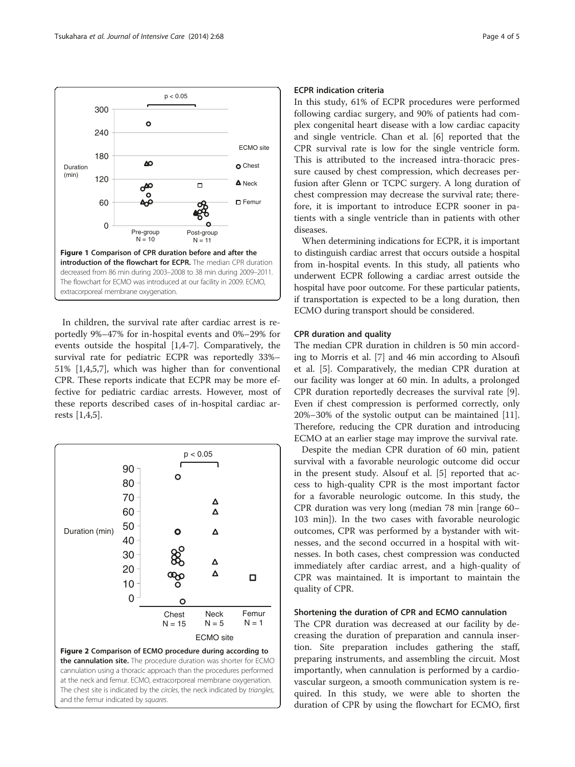<span id="page-3-0"></span>

In children, the survival rate after cardiac arrest is reportedly 9%–47% for in-hospital events and 0%–29% for events outside the hospital [\[1](#page-4-0),[4-7\]](#page-4-0). Comparatively, the survival rate for pediatric ECPR was reportedly 33%– 51% [\[1](#page-4-0),[4](#page-4-0),[5,7\]](#page-4-0), which was higher than for conventional CPR. These reports indicate that ECPR may be more effective for pediatric cardiac arrests. However, most of these reports described cases of in-hospital cardiac arrests [[1,4,5\]](#page-4-0).



the cannulation site. The procedure duration was shorter for ECMO cannulation using a thoracic approach than the procedures performed at the neck and femur. ECMO, extracorporeal membrane oxygenation. The chest site is indicated by the circles, the neck indicated by triangles, and the femur indicated by squares.

## ECPR indication criteria

In this study, 61% of ECPR procedures were performed following cardiac surgery, and 90% of patients had complex congenital heart disease with a low cardiac capacity and single ventricle. Chan et al. [[6\]](#page-4-0) reported that the CPR survival rate is low for the single ventricle form. This is attributed to the increased intra-thoracic pressure caused by chest compression, which decreases perfusion after Glenn or TCPC surgery. A long duration of chest compression may decrease the survival rate; therefore, it is important to introduce ECPR sooner in patients with a single ventricle than in patients with other diseases.

When determining indications for ECPR, it is important to distinguish cardiac arrest that occurs outside a hospital from in-hospital events. In this study, all patients who underwent ECPR following a cardiac arrest outside the hospital have poor outcome. For these particular patients, if transportation is expected to be a long duration, then ECMO during transport should be considered.

## CPR duration and quality

The median CPR duration in children is 50 min according to Morris et al. [\[7\]](#page-4-0) and 46 min according to Alsoufi et al. [\[5](#page-4-0)]. Comparatively, the median CPR duration at our facility was longer at 60 min. In adults, a prolonged CPR duration reportedly decreases the survival rate [\[9](#page-4-0)]. Even if chest compression is performed correctly, only 20%–30% of the systolic output can be maintained [\[11](#page-4-0)]. Therefore, reducing the CPR duration and introducing ECMO at an earlier stage may improve the survival rate.

Despite the median CPR duration of 60 min, patient survival with a favorable neurologic outcome did occur in the present study. Alsouf et al. [[5\]](#page-4-0) reported that access to high-quality CPR is the most important factor for a favorable neurologic outcome. In this study, the CPR duration was very long (median 78 min [range 60– 103 min]). In the two cases with favorable neurologic outcomes, CPR was performed by a bystander with witnesses, and the second occurred in a hospital with witnesses. In both cases, chest compression was conducted immediately after cardiac arrest, and a high-quality of CPR was maintained. It is important to maintain the quality of CPR.

#### Shortening the duration of CPR and ECMO cannulation

The CPR duration was decreased at our facility by decreasing the duration of preparation and cannula insertion. Site preparation includes gathering the staff, preparing instruments, and assembling the circuit. Most importantly, when cannulation is performed by a cardiovascular surgeon, a smooth communication system is required. In this study, we were able to shorten the duration of CPR by using the flowchart for ECMO, first